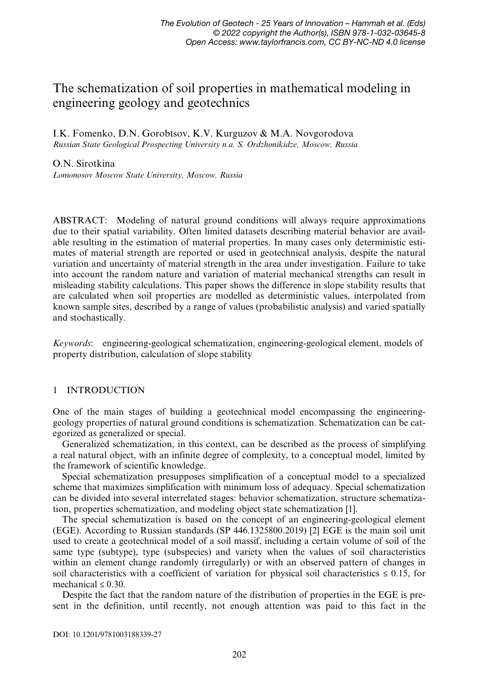# The schematization of soil properties in mathematical modeling in engineering geology and geotechnics

I.K. Fomenko, D.N. Gorobtsov, K.V. Kurguzov & M.A. Novgorodova Russian State Geological Prospecting University n.a. S. Ordzhonikidze, Moscow, Russia

## O.N. Sirotkina

Lomonosov Moscow State University, Moscow, Russia

ABSTRACT: Modeling of natural ground conditions will always require approximations due to their spatial variability. Often limited datasets describing material behavior are available resulting in the estimation of material properties. In many cases only deterministic estimates of material strength are reported or used in geotechnical analysis, despite the natural variation and uncertainty of material strength in the area under investigation. Failure to take into account the random nature and variation of material mechanical strengths can result in misleading stability calculations. This paper shows the difference in slope stability results that are calculated when soil properties are modelled as deterministic values, interpolated from known sample sites, described by a range of values (probabilistic analysis) and varied spatially and stochastically.

Keywords: engineering-geological schematization, engineering-geological element, models of property distribution, calculation of slope stability

# 1 INTRODUCTION

One of the main stages of building a geotechnical model encompassing the engineeringgeology properties of natural ground conditions is schematization. Schematization can be categorized as generalized or special.

Generalized schematization, in this context, can be described as the process of simplifying a real natural object, with an infinite degree of complexity, to a conceptual model, limited by the framework of scientific knowledge.

Special schematization presupposes simplification of a conceptual model to a specialized scheme that maximizes simplification with minimum loss of adequacy. Special schematization can be divided into several interrelated stages: behavior schematization, structure schematization, properties schematization, and modeling object state schematization [1].

The special schematization is based on the concept of an engineering-geological element (EGE). According to Russian standards (SP 446.1325800.2019) [2] EGE is the main soil unit used to create a geotechnical model of a soil massif, including a certain volume of soil of the same type (subtype), type (subspecies) and variety when the values of soil characteristics within an element change randomly (irregularly) or with an observed pattern of changes in soil characteristics with a coefficient of variation for physical soil characteristics  $\leq 0.15$ , for mechanical  $\leq 0.30$ .

Despite the fact that the random nature of the distribution of properties in the EGE is present in the definition, until recently, not enough attention was paid to this fact in the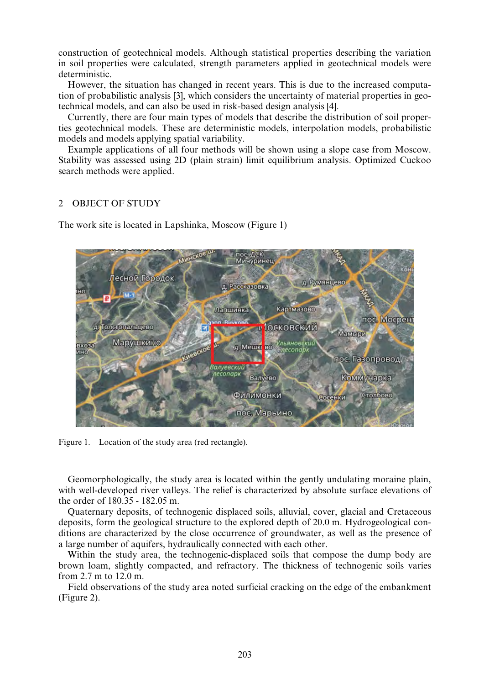construction of geotechnical models. Although statistical properties describing the variation in soil properties were calculated, strength parameters applied in geotechnical models were deterministic.

However, the situation has changed in recent years. This is due to the increased computation of probabilistic analysis [3], which considers the uncertainty of material properties in geotechnical models, and can also be used in risk-based design analysis [4].

Currently, there are four main types of models that describe the distribution of soil properties geotechnical models. These are deterministic models, interpolation models, probabilistic models and models applying spatial variability.

Example applications of all four methods will be shown using a slope case from Moscow. Stability was assessed using 2D (plain strain) limit equilibrium analysis. Optimized Cuckoo search methods were applied.

#### $\mathcal{D}$ OBJECT OF STUDY

The work site is located in Lapshinka, Moscow (Figure 1)



Figure 1. Location of the study area (red rectangle).

Geomorphologically, the study area is located within the gently undulating moraine plain, with well-developed river valleys. The relief is characterized by absolute surface elevations of the order of 180.35 - 182.05 m.

Quaternary deposits, of technogenic displaced soils, alluvial, cover, glacial and Cretaceous deposits, form the geological structure to the explored depth of 20.0 m. Hydrogeological conditions are characterized by the close occurrence of groundwater, as well as the presence of a large number of aquifers, hydraulically connected with each other.

Within the study area, the technogenic-displaced soils that compose the dump body are brown loam, slightly compacted, and refractory. The thickness of technogenic soils varies from 2.7 m to 12.0 m.

Field observations of the study area noted surficial cracking on the edge of the embankment (Figure 2).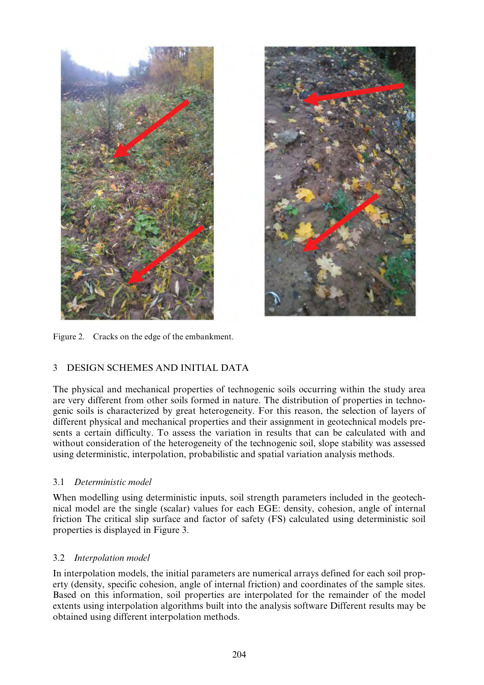



Figure 2. Cracks on the edge of the embankment.

# 3 DESIGN SCHEMES AND INITIAL DATA

The physical and mechanical properties of technogenic soils occurring within the study area are very different from other soils formed in nature. The distribution of properties in technogenic soils is characterized by great heterogeneity. For this reason, the selection of layers of different physical and mechanical properties and their assignment in geotechnical models presents a certain difficulty. To assess the variation in results that can be calculated with and without consideration of the heterogeneity of the technogenic soil, slope stability was assessed using deterministic, interpolation, probabilistic and spatial variation analysis methods.

# 3.1 Deterministic model

When modelling using deterministic inputs, soil strength parameters included in the geotechnical model are the single (scalar) values for each EGE: density, cohesion, angle of internal friction The critical slip surface and factor of safety (FS) calculated using deterministic soil properties is displayed in Figure 3.

# 3.2 Interpolation model

In interpolation models, the initial parameters are numerical arrays defined for each soil property (density, specific cohesion, angle of internal friction) and coordinates of the sample sites. Based on this information, soil properties are interpolated for the remainder of the model extents using interpolation algorithms built into the analysis software Different results may be obtained using different interpolation methods.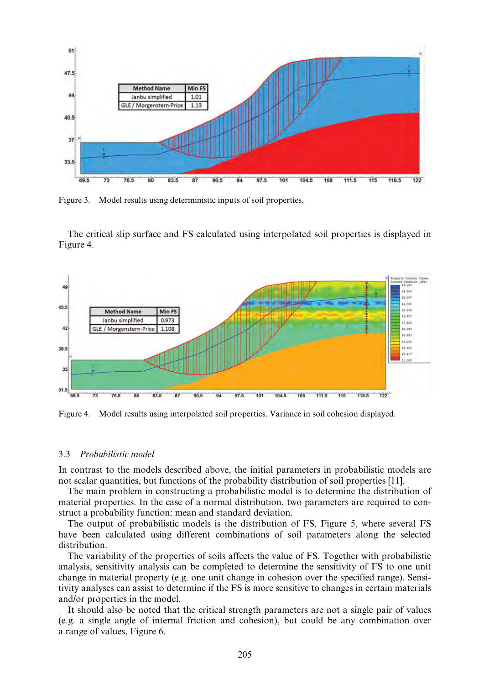

Figure 3. Model results using deterministic inputs of soil properties.

The critical slip surface and FS calculated using interpolated soil properties is displayed in Figure 4.



Figure 4. Model results using interpolated soil properties. Variance in soil cohesion displayed.

#### 3.3 Probabilistic model

In contrast to the models described above, the initial parameters in probabilistic models are not scalar quantities, but functions of the probability distribution of soil properties [11].

The main problem in constructing a probabilistic model is to determine the distribution of material properties. In the case of a normal distribution, two parameters are required to construct a probability function: mean and standard deviation.

The output of probabilistic models is the distribution of FS, Figure 5, where several FS have been calculated using different combinations of soil parameters along the selected distribution.

The variability of the properties of soils affects the value of FS. Together with probabilistic analysis, sensitivity analysis can be completed to determine the sensitivity of FS to one unit change in material property (e.g. one unit change in cohesion over the specified range). Sensitivity analyses can assist to determine if the FS is more sensitive to changes in certain materials and/or properties in the model.

It should also be noted that the critical strength parameters are not a single pair of values (e.g. a single angle of internal friction and cohesion), but could be any combination over a range of values, Figure 6.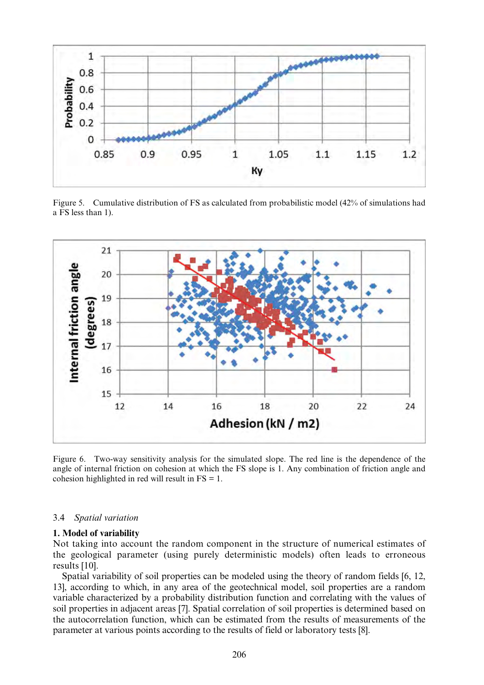

Figure 5. Cumulative distribution of FS as calculated from probabilistic model (42% of simulations had a FS less than 1).



Figure 6. Two-way sensitivity analysis for the simulated slope. The red line is the dependence of the angle of internal friction on cohesion at which the FS slope is 1. Any combination of friction angle and cohesion highlighted in red will result in FS = 1.

#### 3.4 Spatial variation

## 1. Model of variability

Not taking into account the random component in the structure of numerical estimates of the geological parameter (using purely deterministic models) often leads to erroneous results [10].

Spatial variability of soil properties can be modeled using the theory of random fields [6, 12, 13], according to which, in any area of the geotechnical model, soil properties are a random variable characterized by a probability distribution function and correlating with the values of soil properties in adjacent areas [7]. Spatial correlation of soil properties is determined based on the autocorrelation function, which can be estimated from the results of measurements of the parameter at various points according to the results of field or laboratory tests [8].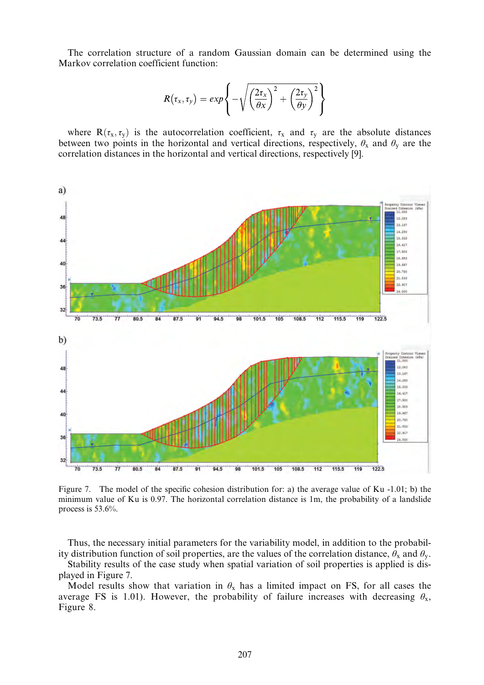The correlation structure of a random Gaussian domain can be determined using the Markov correlation coefficient function:

$$
R(\tau_x, \tau_y) = exp\left\{-\sqrt{\left(\frac{2\tau_x}{\theta x}\right)^2 + \left(\frac{2\tau_y}{\theta y}\right)^2}\right\}
$$

where  $R(\tau_x, \tau_y)$  is the autocorrelation coefficient,  $\tau_x$  and  $\tau_y$  are the absolute distances between two points in the horizontal and vertical directions, respectively,  $\theta_x$  and  $\theta_y$  are the correlation distances in the horizontal and vertical directions, respectively [9].



Figure 7. The model of the specific cohesion distribution for: a) the average value of Ku -1.01; b) the minimum value of Ku is 0.97. The horizontal correlation distance is 1m, the probability of a landslide process is 53.6%.

Thus, the necessary initial parameters for the variability model, in addition to the probability distribution function of soil properties, are the values of the correlation distance,  $\theta_x$  and  $\theta_y$ .

Stability results of the case study when spatial variation of soil properties is applied is displayed in Figure 7.

Model results show that variation in  $\theta_x$  has a limited impact on FS, for all cases the average FS is 1.01). However, the probability of failure increases with decreasing  $\theta_x$ , Figure 8.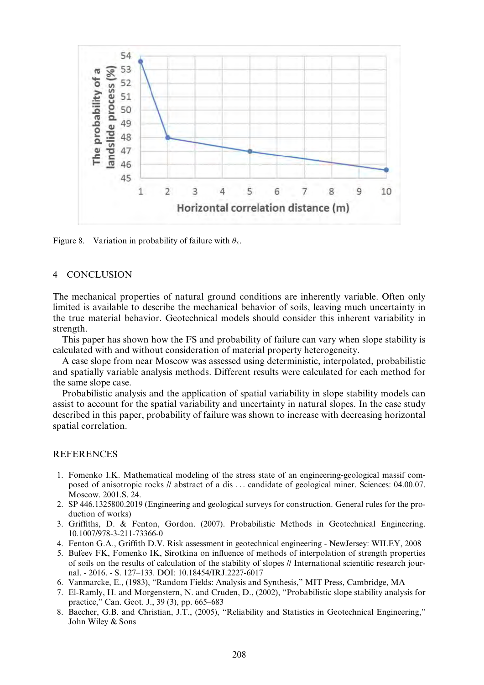

Figure 8. Variation in probability of failure with  $\theta_x$ .

#### 4 CONCLUSION

The mechanical properties of natural ground conditions are inherently variable. Often only limited is available to describe the mechanical behavior of soils, leaving much uncertainty in the true material behavior. Geotechnical models should consider this inherent variability in strength.

This paper has shown how the FS and probability of failure can vary when slope stability is calculated with and without consideration of material property heterogeneity.

A case slope from near Moscow was assessed using deterministic, interpolated, probabilistic and spatially variable analysis methods. Different results were calculated for each method for the same slope case.

Probabilistic analysis and the application of spatial variability in slope stability models can assist to account for the spatial variability and uncertainty in natural slopes. In the case study described in this paper, probability of failure was shown to increase with decreasing horizontal spatial correlation.

# REFERENCES

- 1. Fomenko I.K. Mathematical modeling of the stress state of an engineering-geological massif composed of anisotropic rocks // abstract of a dis ... candidate of geological miner. Sciences: 04.00.07. Moscow. 2001.S. 24.
- 2. SP 446.1325800.2019 (Engineering and geological surveys for construction. General rules for the production of works)
- 3. Griffiths, D. & Fenton, Gordon. (2007). Probabilistic Methods in Geotechnical Engineering. 10.1007/978-3-211-73366-0
- 4. Fenton G.A., Griffith D.V. Risk assessment in geotechnical engineering NewJersey: WILEY, 2008
- 5. Bufeev FK, Fomenko IK, Sirotkina on influence of methods of interpolation of strength properties of soils on the results of calculation of the stability of slopes // International scientific research journal. - 2016. - S. 127–133. DOI: 10.18454/IRJ.2227-6017
- 6. Vanmarcke, E., (1983), "Random Fields: Analysis and Synthesis," MIT Press, Cambridge, MA
- 7. El-Ramly, H. and Morgenstern, N. and Cruden, D., (2002), "Probabilistic slope stability analysis for practice," Can. Geot. J., 39 (3), pp. 665–683
- 8. Baecher, G.B. and Christian, J.T., (2005), "Reliability and Statistics in Geotechnical Engineering," John Wiley & Sons